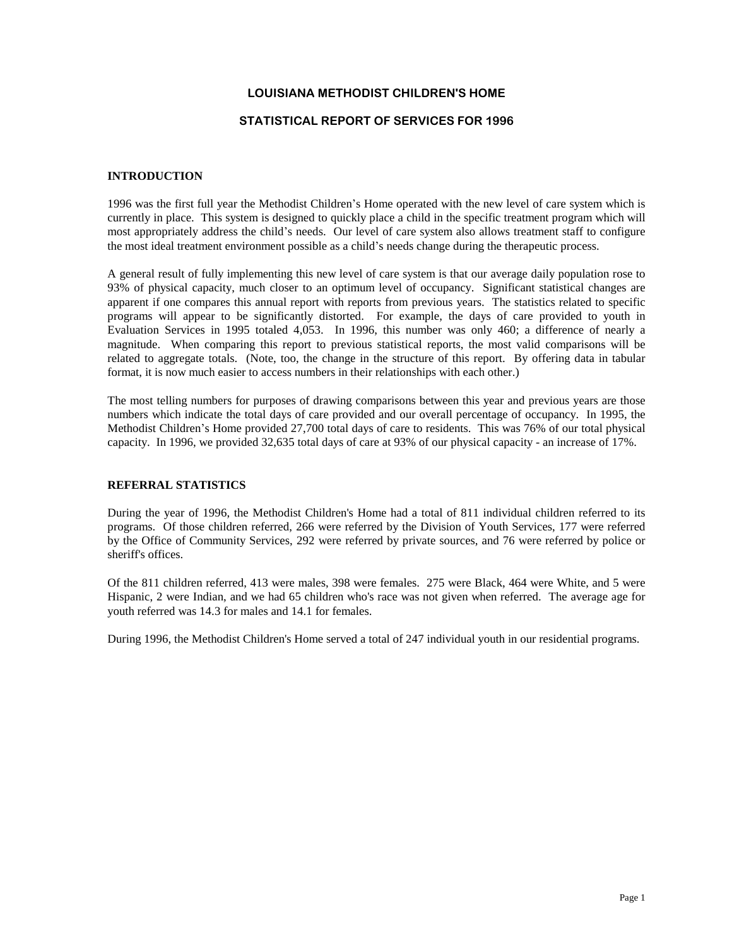# **LOUISIANA METHODIST CHILDREN'S HOME**

# **STATISTICAL REPORT OF SERVICES FOR 1996**

### **INTRODUCTION**

1996 was the first full year the Methodist Children's Home operated with the new level of care system which is currently in place. This system is designed to quickly place a child in the specific treatment program which will most appropriately address the child's needs. Our level of care system also allows treatment staff to configure the most ideal treatment environment possible as a child's needs change during the therapeutic process.

A general result of fully implementing this new level of care system is that our average daily population rose to 93% of physical capacity, much closer to an optimum level of occupancy. Significant statistical changes are apparent if one compares this annual report with reports from previous years. The statistics related to specific programs will appear to be significantly distorted. For example, the days of care provided to youth in Evaluation Services in 1995 totaled 4,053. In 1996, this number was only 460; a difference of nearly a magnitude. When comparing this report to previous statistical reports, the most valid comparisons will be related to aggregate totals. (Note, too, the change in the structure of this report. By offering data in tabular format, it is now much easier to access numbers in their relationships with each other.)

The most telling numbers for purposes of drawing comparisons between this year and previous years are those numbers which indicate the total days of care provided and our overall percentage of occupancy. In 1995, the Methodist Children's Home provided 27,700 total days of care to residents. This was 76% of our total physical capacity. In 1996, we provided 32,635 total days of care at 93% of our physical capacity - an increase of 17%.

#### **REFERRAL STATISTICS**

During the year of 1996, the Methodist Children's Home had a total of 811 individual children referred to its programs. Of those children referred, 266 were referred by the Division of Youth Services, 177 were referred by the Office of Community Services, 292 were referred by private sources, and 76 were referred by police or sheriff's offices.

Of the 811 children referred, 413 were males, 398 were females. 275 were Black, 464 were White, and 5 were Hispanic, 2 were Indian, and we had 65 children who's race was not given when referred. The average age for youth referred was 14.3 for males and 14.1 for females.

During 1996, the Methodist Children's Home served a total of 247 individual youth in our residential programs.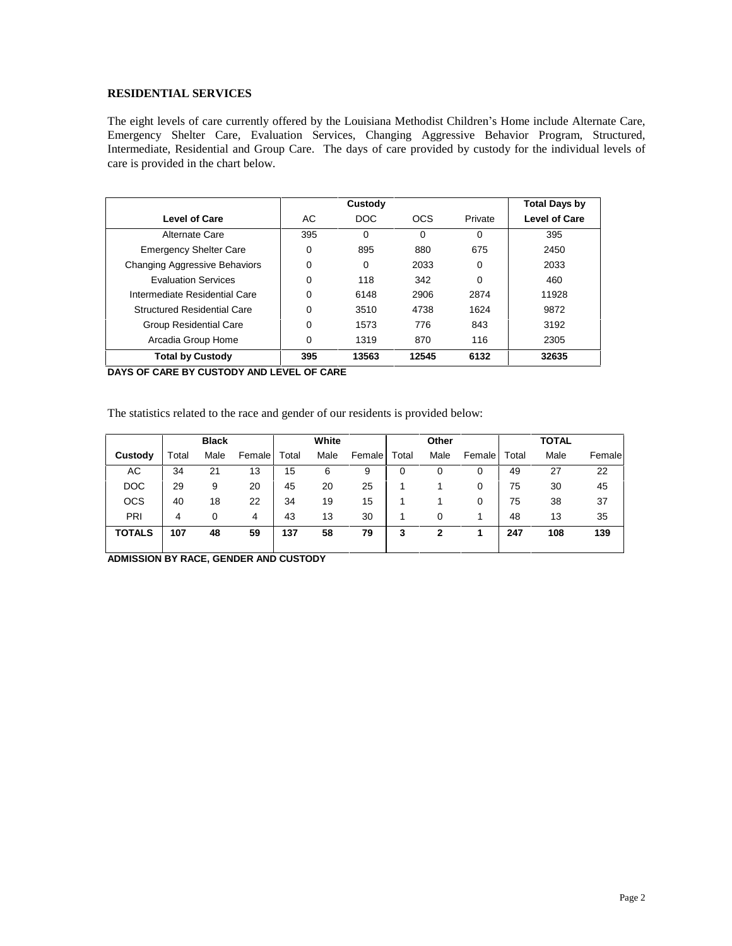# **RESIDENTIAL SERVICES**

The eight levels of care currently offered by the Louisiana Methodist Children's Home include Alternate Care, Emergency Shelter Care, Evaluation Services, Changing Aggressive Behavior Program, Structured, Intermediate, Residential and Group Care. The days of care provided by custody for the individual levels of care is provided in the chart below.

|                                      | Custody  |                  |            |          | <b>Total Days by</b> |  |
|--------------------------------------|----------|------------------|------------|----------|----------------------|--|
| <b>Level of Care</b>                 | AC.      | DOC <sub>1</sub> | <b>OCS</b> | Private  | <b>Level of Care</b> |  |
| Alternate Care                       | 395      | 0                | $\Omega$   | $\Omega$ | 395                  |  |
| <b>Emergency Shelter Care</b>        | 0        | 895              | 880        | 675      | 2450                 |  |
| <b>Changing Aggressive Behaviors</b> | 0        | 0                | 2033       | $\Omega$ | 2033                 |  |
| <b>Evaluation Services</b>           | $\Omega$ | 118              | 342        | $\Omega$ | 460                  |  |
| Intermediate Residential Care        | 0        | 6148             | 2906       | 2874     | 11928                |  |
| <b>Structured Residential Care</b>   | 0        | 3510             | 4738       | 1624     | 9872                 |  |
| <b>Group Residential Care</b>        | $\Omega$ | 1573             | 776        | 843      | 3192                 |  |
| Arcadia Group Home                   | 0        | 1319             | 870        | 116      | 2305                 |  |
| <b>Total by Custody</b>              | 395      | 13563            | 12545      | 6132     | 32635                |  |

**DAYS OF CARE BY CUSTODY AND LEVEL OF CARE**

The statistics related to the race and gender of our residents is provided below:

|               |       | <b>Black</b> |        |       | White |        |       | Other |        |       | <b>TOTAL</b> |        |
|---------------|-------|--------------|--------|-------|-------|--------|-------|-------|--------|-------|--------------|--------|
| Custody       | Total | Male         | Female | Total | Male  | Female | Total | Male  | Female | Total | Male         | Female |
| АC            | 34    | 21           | 13     | 15    | 6     | 9      | 0     |       | 0      | 49    | 27           | 22     |
| <b>DOC</b>    | 29    | 9            | 20     | 45    | 20    | 25     |       |       | 0      | 75    | 30           | 45     |
| <b>OCS</b>    | 40    | 18           | 22     | 34    | 19    | 15     |       |       | 0      | 75    | 38           | 37     |
| PRI           | 4     | 0            | 4      | 43    | 13    | 30     |       | 0     |        | 48    | 13           | 35     |
| <b>TOTALS</b> | 107   | 48           | 59     | 137   | 58    | 79     | 3     | 2     |        | 247   | 108          | 139    |
|               |       |              |        |       |       |        |       |       |        |       |              |        |

**ADMISSION BY RACE, GENDER AND CUSTODY**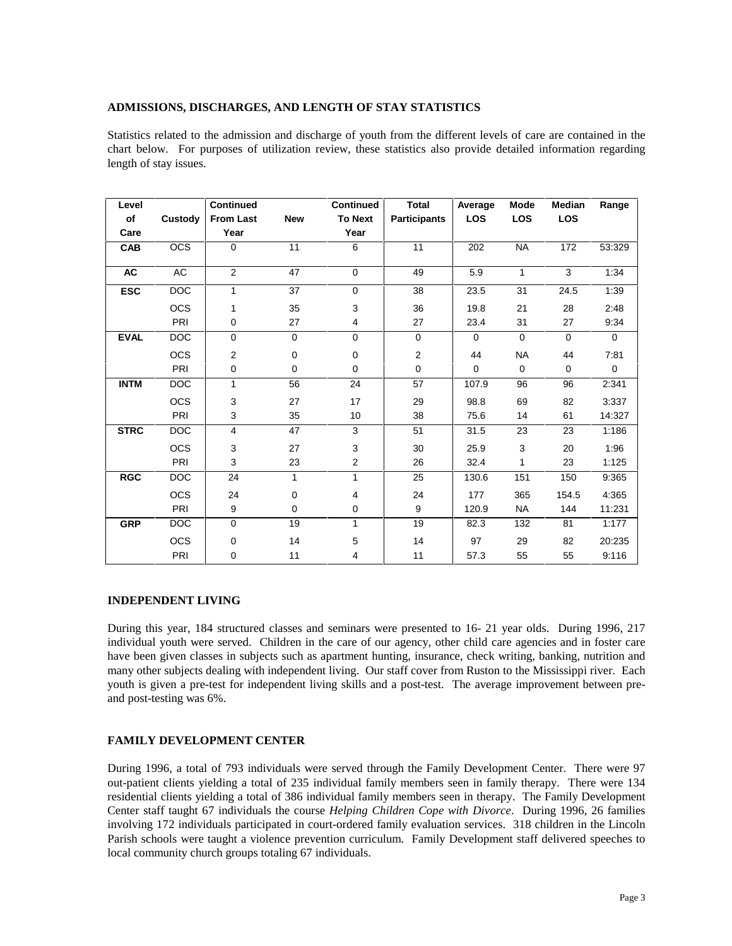### **ADMISSIONS, DISCHARGES, AND LENGTH OF STAY STATISTICS**

Statistics related to the admission and discharge of youth from the different levels of care are contained in the chart below. For purposes of utilization review, these statistics also provide detailed information regarding length of stay issues.

| Level       |            | <b>Continued</b> |             | <b>Continued</b> | <b>Total</b>        | Average     | Mode         | <b>Median</b> | Range       |
|-------------|------------|------------------|-------------|------------------|---------------------|-------------|--------------|---------------|-------------|
| of          | Custody    | <b>From Last</b> | <b>New</b>  | <b>To Next</b>   | <b>Participants</b> | <b>LOS</b>  | <b>LOS</b>   | LOS           |             |
| Care        |            | Year             |             | Year             |                     |             |              |               |             |
| <b>CAB</b>  | <b>OCS</b> | 0                | 11          | 6                | 11                  | 202         | <b>NA</b>    | 172           | 53:329      |
| <b>AC</b>   | AC         | 2                | 47          | $\Omega$         | 49                  | 5.9         | 1            | 3             | 1:34        |
| <b>ESC</b>  | DOC        | 1                | 37          | $\mathbf 0$      | 38                  | 23.5        | 31           | 24.5          | 1:39        |
|             | <b>OCS</b> | 1                | 35          | 3                | 36                  | 19.8        | 21           | 28            | 2:48        |
|             | PRI        | 0                | 27          | 4                | 27                  | 23.4        | 31           | 27            | 9.34        |
| <b>EVAL</b> | DOC        | 0                | $\mathbf 0$ | $\mathbf 0$      | $\mathbf 0$         | $\mathbf 0$ | $\mathbf 0$  | $\mathbf 0$   | $\mathbf 0$ |
|             | <b>OCS</b> | 2                | 0           | 0                | $\mathbf{2}$        | 44          | <b>NA</b>    | 44            | 7:81        |
|             | PRI        | 0                | $\mathbf 0$ | $\mathbf 0$      | $\mathbf 0$         | $\mathbf 0$ | $\mathbf 0$  | $\mathbf 0$   | $\mathbf 0$ |
| <b>INTM</b> | <b>DOC</b> | 1                | 56          | 24               | 57                  | 107.9       | 96           | 96            | 2:341       |
|             | OCS        | 3                | 27          | 17               | 29                  | 98.8        | 69           | 82            | 3:337       |
|             | PRI        | 3                | 35          | 10               | 38                  | 75.6        | 14           | 61            | 14:327      |
| <b>STRC</b> | <b>DOC</b> | 4                | 47          | 3                | 51                  | 31.5        | 23           | 23            | 1:186       |
|             | <b>OCS</b> | 3                | 27          | 3                | 30                  | 25.9        | 3            | 20            | 1:96        |
|             | PRI        | 3                | 23          | 2                | 26                  | 32.4        | $\mathbf{1}$ | 23            | 1:125       |
| <b>RGC</b>  | <b>DOC</b> | 24               | 1           | 1                | 25                  | 130.6       | 151          | 150           | 9:365       |
|             | <b>OCS</b> | 24               | 0           | 4                | 24                  | 177         | 365          | 154.5         | 4:365       |
|             | PRI        | 9                | 0           | 0                | 9                   | 120.9       | <b>NA</b>    | 144           | 11:231      |
| <b>GRP</b>  | DOC        | $\Omega$         | 19          | 1                | 19                  | 82.3        | 132          | 81            | 1:177       |
|             | <b>OCS</b> | 0                | 14          | 5                | 14                  | 97          | 29           | 82            | 20:235      |
|             | PRI        | 0                | 11          | 4                | 11                  | 57.3        | 55           | 55            | 9:116       |

## **INDEPENDENT LIVING**

During this year, 184 structured classes and seminars were presented to 16- 21 year olds. During 1996, 217 individual youth were served. Children in the care of our agency, other child care agencies and in foster care have been given classes in subjects such as apartment hunting, insurance, check writing, banking, nutrition and many other subjects dealing with independent living. Our staff cover from Ruston to the Mississippi river. Each youth is given a pre-test for independent living skills and a post-test. The average improvement between pre and post-testing was 6%.

#### **FAMILY DEVELOPMENT CENTER**

During 1996, a total of 793 individuals were served through the Family Development Center. There were 97 out-patient clients yielding a total of 235 individual family members seen in family therapy. There were 134 residential clients yielding a total of 386 individual family members seen in therapy. The Family Development Center staff taught 67 individuals the course *Helping Children Cope with Divorce*. During 1996, 26 families involving 172 individuals participated in court-ordered family evaluation services. 318 children in the Lincoln Parish schools were taught a violence prevention curriculum. Family Development staff delivered speeches to local community church groups totaling 67 individuals.